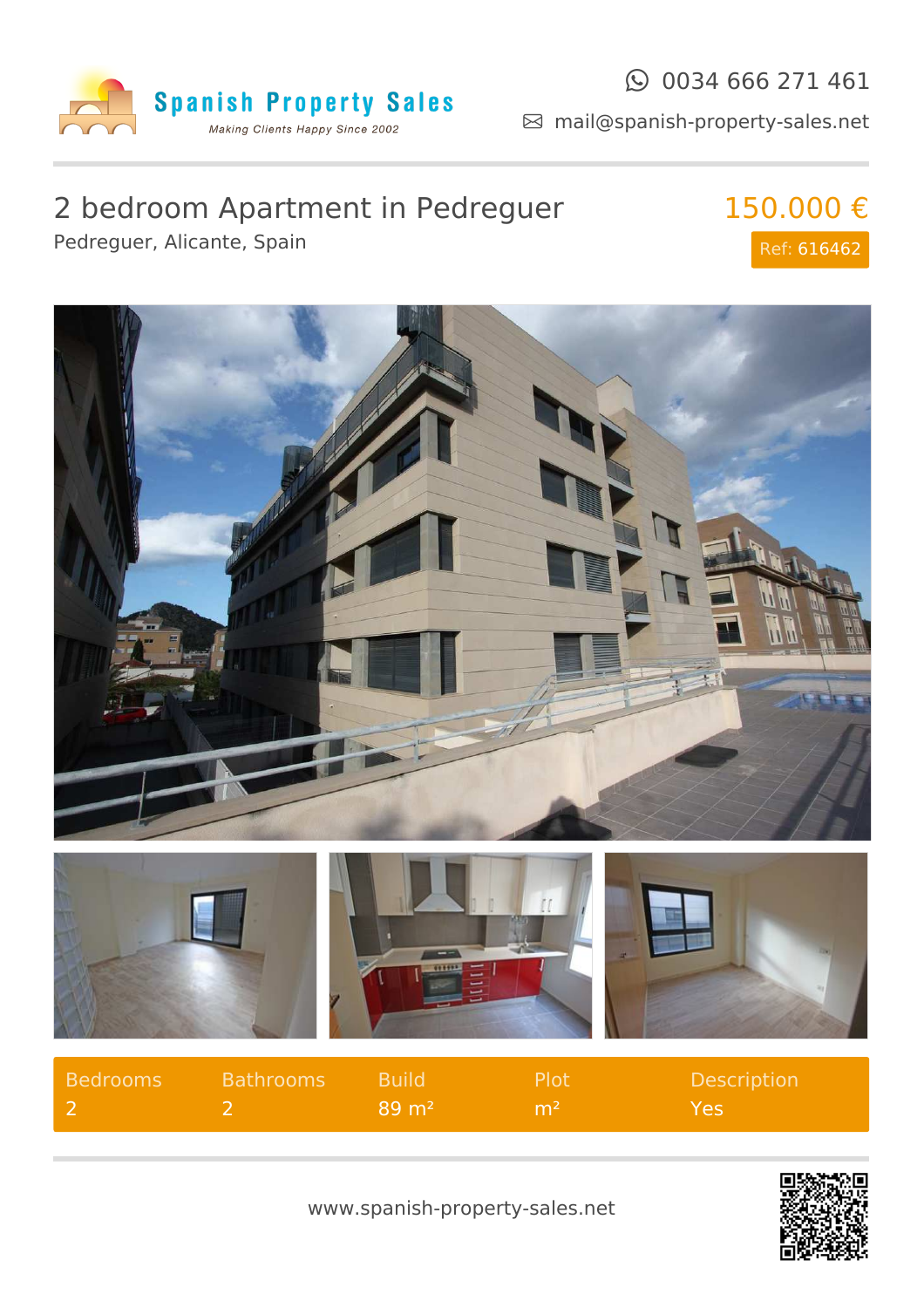

mail@spanish-property-sales.net

## 2 bedroom Apartment in Pedreguer Pedreguer, Alicante, Spain

150.000 € Ref: 616462



| Bedrooms | Bathrooms Build |                       | - Plot          | Description |
|----------|-----------------|-----------------------|-----------------|-------------|
|          |                 | 1 89 m <sup>2</sup> l | −m <sup>2</sup> | Yes.        |



www.spanish-property-sales.net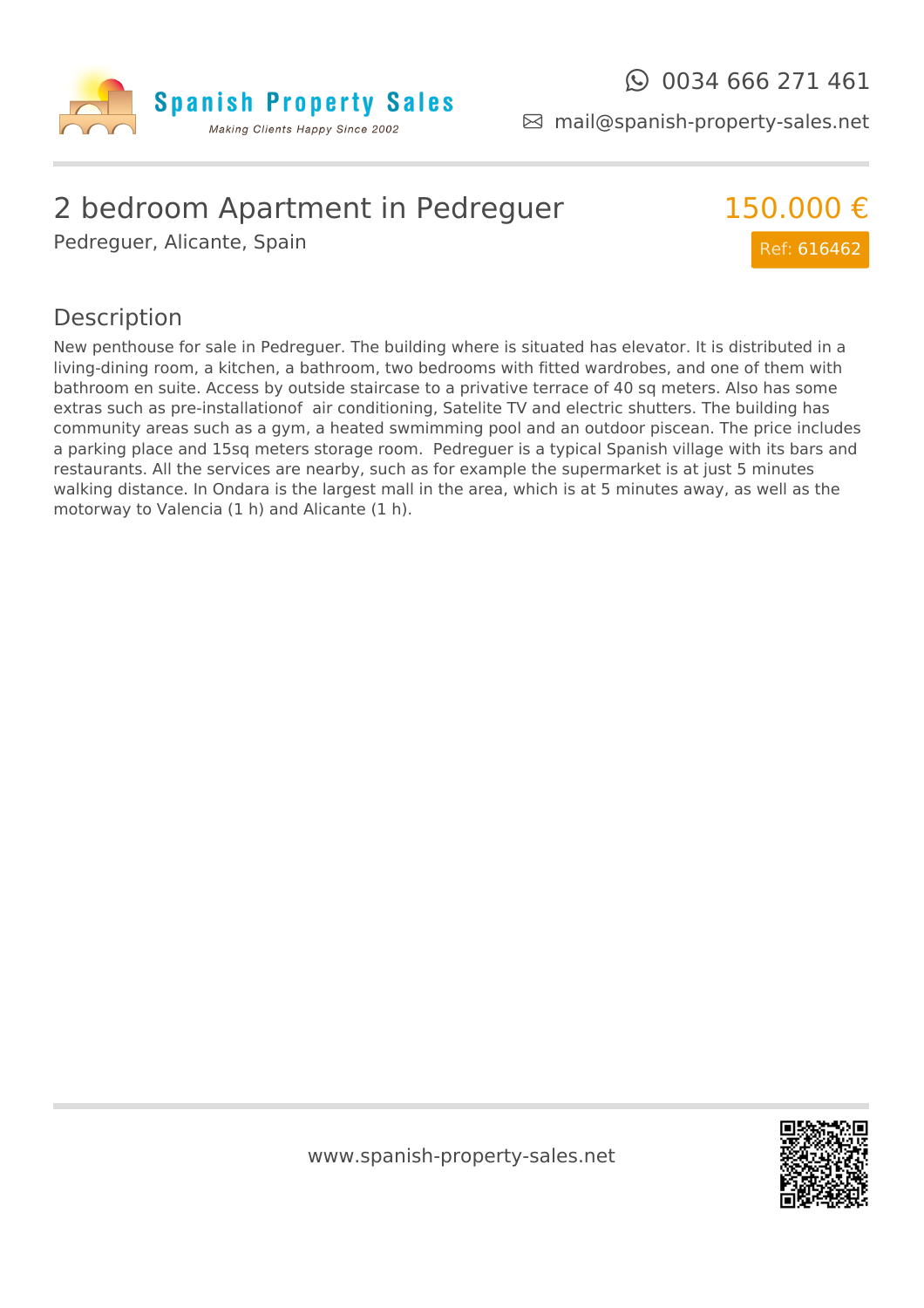

mail@spanish-property-sales.net

## 2 bedroom Apartment in Pedreguer

Pedreguer, Alicante, Spain



## Description

New penthouse for sale in Pedreguer. The building where is situated has elevator. It is distributed in a living-dining room, a kitchen, a bathroom, two bedrooms with fitted wardrobes, and one of them with bathroom en suite. Access by outside staircase to a privative terrace of 40 sq meters. Also has some extras such as pre-installationof air conditioning, Satelite TV and electric shutters. The building has community areas such as a gym, a heated swmimming pool and an outdoor piscean. The price includes a parking place and 15sq meters storage room. Pedreguer is a typical Spanish village with its bars and restaurants. All the services are nearby, such as for example the supermarket is at just 5 minutes walking distance. In Ondara is the largest mall in the area, which is at 5 minutes away, as well as the motorway to Valencia (1 h) and Alicante (1 h).